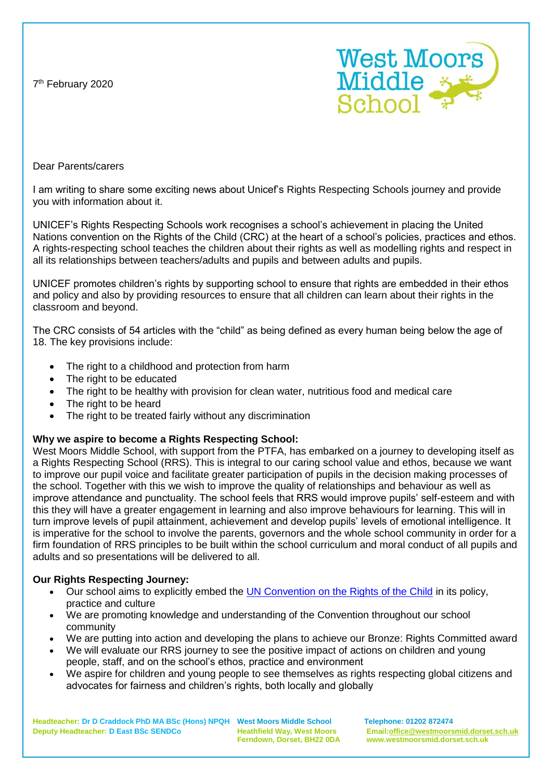7<sup>th</sup> February 2020



Dear Parents/carers

I am writing to share some exciting news about Unicef's Rights Respecting Schools journey and provide you with information about it.

UNICEF's Rights Respecting Schools work recognises a school's achievement in placing the United Nations convention on the Rights of the Child (CRC) at the heart of a school's policies, practices and ethos. A rights-respecting school teaches the children about their rights as well as modelling rights and respect in all its relationships between teachers/adults and pupils and between adults and pupils.

UNICEF promotes children's rights by supporting school to ensure that rights are embedded in their ethos and policy and also by providing resources to ensure that all children can learn about their rights in the classroom and beyond.

The CRC consists of 54 articles with the "child" as being defined as every human being below the age of 18. The key provisions include:

- The right to a childhood and protection from harm
- The right to be educated
- The right to be healthy with provision for clean water, nutritious food and medical care
- The right to be heard
- The right to be treated fairly without any discrimination

## **Why we aspire to become a Rights Respecting School:**

West Moors Middle School, with support from the PTFA, has embarked on a journey to developing itself as a Rights Respecting School (RRS). This is integral to our caring school value and ethos, because we want to improve our pupil voice and facilitate greater participation of pupils in the decision making processes of the school. Together with this we wish to improve the quality of relationships and behaviour as well as improve attendance and punctuality. The school feels that RRS would improve pupils' self-esteem and with this they will have a greater engagement in learning and also improve behaviours for learning. This will in turn improve levels of pupil attainment, achievement and develop pupils' levels of emotional intelligence. It is imperative for the school to involve the parents, governors and the whole school community in order for a firm foundation of RRS principles to be built within the school curriculum and moral conduct of all pupils and adults and so presentations will be delivered to all.

## **Our Rights Respecting Journey:**

- Our school aims to explicitly embed the [UN Convention on the Rights of the Child](https://www.unicef.org.uk/rights-respecting-schools/the-rrsa/introducing-the-crc/) in its policy, practice and culture
- We are promoting knowledge and understanding of the Convention throughout our school community
- We are putting into action and developing the plans to achieve our Bronze: Rights Committed award
- We will evaluate our RRS journey to see the positive impact of actions on children and young people, staff, and on the school's ethos, practice and environment
- We aspire for children and young people to see themselves as rights respecting global citizens and advocates for fairness and children's rights, both locally and globally

**Headteacher: Dr D Craddock PhD MA BSc (Hons) NPQH West Moors Middle School Telephone: 01202 872474 Deputy Headteacher: D East BSc SENDCo Heathfield Way, West Moors Email[:office@westmoorsmid.dorset.sch.uk](mailto:office@westmoorsmid.dorset.sch.uk)**

 **Ferndown, Dorset, BH22 0DA www.westmoorsmid.dorset.sch.uk**